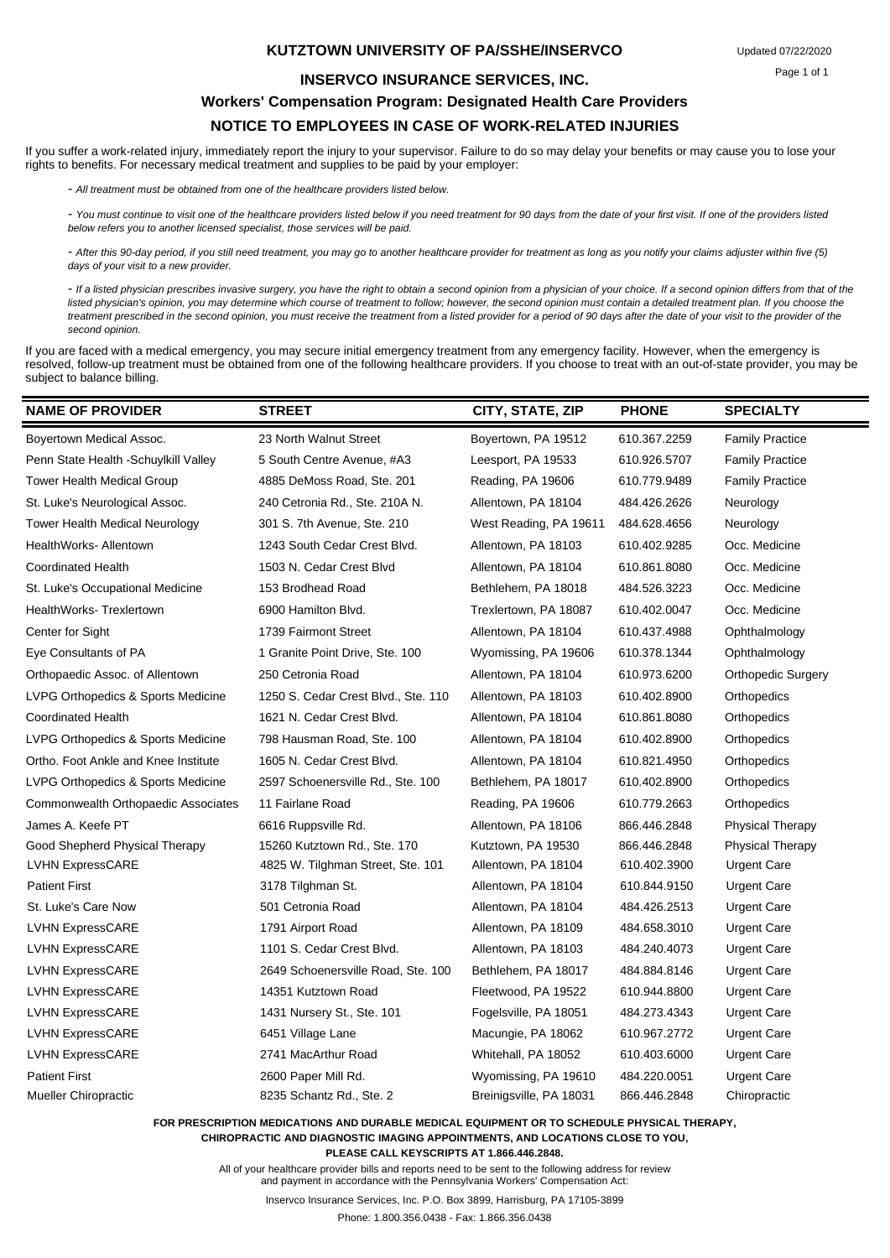#### **KUTZTOWN UNIVERSITY OF PA/SSHE/INSERVCO**

#### **INSERVCO INSURANCE SERVICES, INC.**

### **Workers' Compensation Program: Designated Health Care Providers NOTICE TO EMPLOYEES IN CASE OF WORK-RELATED INJURIES**

If you suffer a work-related injury, immediately report the injury to your supervisor. Failure to do so may delay your benefits or may cause you to lose your rights to benefits. For necessary medical treatment and supplies to be paid by your employer:

*- All treatment must be obtained from one of the healthcare providers listed below.*

- You must continue to visit one of the healthcare providers listed below if you need treatment for 90 days from the date of your first visit. If one of the providers listed *below refers you to another licensed specialist, those services will be paid.*

*- After this 90-day period, if you still need treatment, you may go to another healthcare provider for treatment as long as you notify your claims adjuster within five (5) days of your visit to a new provider.*

*- If a listed physician prescribes invasive surgery, you have the right to obtain a second opinion from a physician of your choice. If a second opinion differs from that of the*  listed physician's opinion, you may determine which course of treatment to follow; however, the second opinion must contain a detailed treatment plan. If you choose the *treatment prescribed in the second opinion, you must receive the treatment from a listed provider for a period of 90 days after the date of your visit to the provider of the second opinion.*

If you are faced with a medical emergency, you may secure initial emergency treatment from any emergency facility. However, when the emergency is resolved, follow-up treatment must be obtained from one of the following healthcare providers. If you choose to treat with an out-of-state provider, you may be subject to balance billing.

| <b>NAME OF PROVIDER</b>               | <b>STREET</b>                       | CITY, STATE, ZIP        | <b>PHONE</b> | <b>SPECIALTY</b>          |
|---------------------------------------|-------------------------------------|-------------------------|--------------|---------------------------|
| Boyertown Medical Assoc.              | 23 North Walnut Street              | Boyertown, PA 19512     | 610.367.2259 | <b>Family Practice</b>    |
| Penn State Health - Schuylkill Valley | 5 South Centre Avenue, #A3          | Leesport, PA 19533      | 610.926.5707 | <b>Family Practice</b>    |
| <b>Tower Health Medical Group</b>     | 4885 DeMoss Road, Ste. 201          | Reading, PA 19606       | 610.779.9489 | <b>Family Practice</b>    |
| St. Luke's Neurological Assoc.        | 240 Cetronia Rd., Ste. 210A N.      | Allentown, PA 18104     | 484.426.2626 | Neurology                 |
| Tower Health Medical Neurology        | 301 S. 7th Avenue, Ste. 210         | West Reading, PA 19611  | 484.628.4656 | Neurology                 |
| HealthWorks- Allentown                | 1243 South Cedar Crest Blvd.        | Allentown, PA 18103     | 610.402.9285 | Occ. Medicine             |
| <b>Coordinated Health</b>             | 1503 N. Cedar Crest Blvd            | Allentown, PA 18104     | 610.861.8080 | Occ. Medicine             |
| St. Luke's Occupational Medicine      | 153 Brodhead Road                   | Bethlehem, PA 18018     | 484.526.3223 | Occ. Medicine             |
| HealthWorks-Trexlertown               | 6900 Hamilton Blvd.                 | Trexlertown, PA 18087   | 610.402.0047 | Occ. Medicine             |
| Center for Sight                      | 1739 Fairmont Street                | Allentown, PA 18104     | 610.437.4988 | Ophthalmology             |
| Eye Consultants of PA                 | 1 Granite Point Drive, Ste. 100     | Wyomissing, PA 19606    | 610.378.1344 | Ophthalmology             |
| Orthopaedic Assoc. of Allentown       | 250 Cetronia Road                   | Allentown, PA 18104     | 610.973.6200 | <b>Orthopedic Surgery</b> |
| LVPG Orthopedics & Sports Medicine    | 1250 S. Cedar Crest Blvd., Ste. 110 | Allentown, PA 18103     | 610.402.8900 | Orthopedics               |
| <b>Coordinated Health</b>             | 1621 N. Cedar Crest Blvd.           | Allentown, PA 18104     | 610.861.8080 | Orthopedics               |
| LVPG Orthopedics & Sports Medicine    | 798 Hausman Road, Ste. 100          | Allentown, PA 18104     | 610.402.8900 | Orthopedics               |
| Ortho. Foot Ankle and Knee Institute  | 1605 N. Cedar Crest Blvd.           | Allentown, PA 18104     | 610.821.4950 | Orthopedics               |
| LVPG Orthopedics & Sports Medicine    | 2597 Schoenersville Rd., Ste. 100   | Bethlehem, PA 18017     | 610.402.8900 | Orthopedics               |
| Commonwealth Orthopaedic Associates   | 11 Fairlane Road                    | Reading, PA 19606       | 610.779.2663 | Orthopedics               |
| James A. Keefe PT                     | 6616 Ruppsville Rd.                 | Allentown, PA 18106     | 866.446.2848 | <b>Physical Therapy</b>   |
| Good Shepherd Physical Therapy        | 15260 Kutztown Rd., Ste. 170        | Kutztown, PA 19530      | 866.446.2848 | <b>Physical Therapy</b>   |
| <b>LVHN ExpressCARE</b>               | 4825 W. Tilghman Street, Ste. 101   | Allentown, PA 18104     | 610.402.3900 | <b>Urgent Care</b>        |
| <b>Patient First</b>                  | 3178 Tilghman St.                   | Allentown, PA 18104     | 610.844.9150 | <b>Urgent Care</b>        |
| St. Luke's Care Now                   | 501 Cetronia Road                   | Allentown, PA 18104     | 484.426.2513 | Urgent Care               |
| <b>LVHN ExpressCARE</b>               | 1791 Airport Road                   | Allentown, PA 18109     | 484.658.3010 | <b>Urgent Care</b>        |
| <b>LVHN ExpressCARE</b>               | 1101 S. Cedar Crest Blvd.           | Allentown, PA 18103     | 484.240.4073 | Urgent Care               |
| <b>LVHN ExpressCARE</b>               | 2649 Schoenersville Road, Ste. 100  | Bethlehem, PA 18017     | 484.884.8146 | <b>Urgent Care</b>        |
| <b>LVHN ExpressCARE</b>               | 14351 Kutztown Road                 | Fleetwood, PA 19522     | 610.944.8800 | <b>Urgent Care</b>        |
| <b>LVHN ExpressCARE</b>               | 1431 Nursery St., Ste. 101          | Fogelsville, PA 18051   | 484.273.4343 | <b>Urgent Care</b>        |
| <b>LVHN ExpressCARE</b>               | 6451 Village Lane                   | Macungie, PA 18062      | 610.967.2772 | <b>Urgent Care</b>        |
| <b>LVHN ExpressCARE</b>               | 2741 MacArthur Road                 | Whitehall, PA 18052     | 610.403.6000 | <b>Urgent Care</b>        |
| <b>Patient First</b>                  | 2600 Paper Mill Rd.                 | Wyomissing, PA 19610    | 484.220.0051 | <b>Urgent Care</b>        |
| Mueller Chiropractic                  | 8235 Schantz Rd., Ste. 2            | Breinigsville, PA 18031 | 866.446.2848 | Chiropractic              |

**FOR PRESCRIPTION MEDICATIONS AND DURABLE MEDICAL EQUIPMENT OR TO SCHEDULE PHYSICAL THERAPY, CHIROPRACTIC AND DIAGNOSTIC IMAGING APPOINTMENTS, AND LOCATIONS CLOSE TO YOU,** 

**PLEASE CALL KEYSCRIPTS AT 1.866.446.2848.**

All of your healthcare provider bills and reports need to be sent to the following address for review and payment in accordance with the Pennsylvania Workers' Compensation Act:

Inservco Insurance Services, Inc. P.O. Box 3899, Harrisburg, PA 17105-3899

Phone: 1.800.356.0438 - Fax: 1.866.356.0438